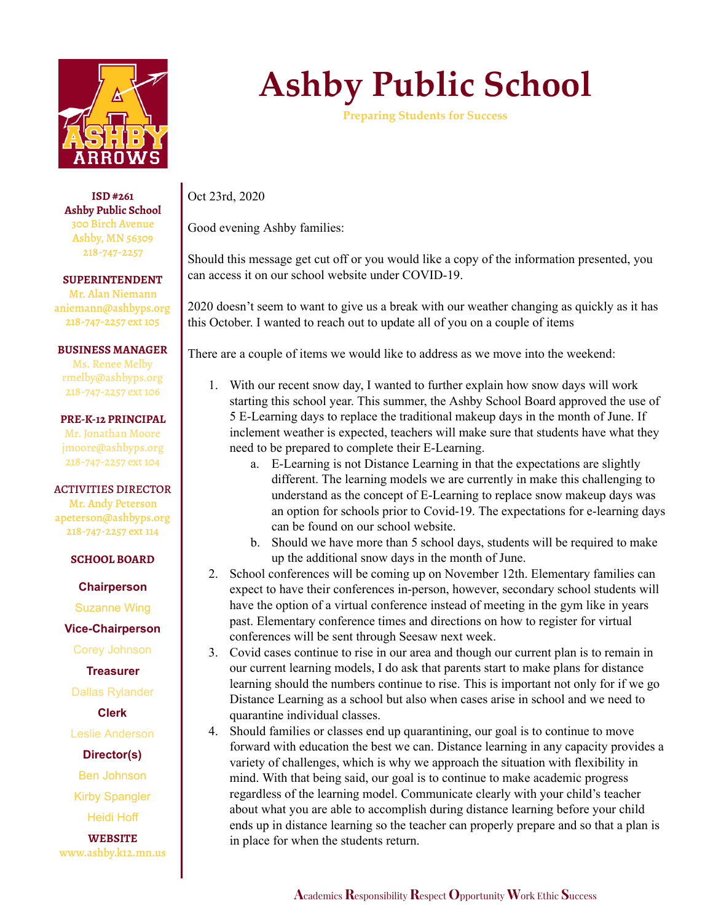

**ISD #261 Ashby Public School** 300 Birch Avenue Ashby, MN 56309 218-747-2257

**SUPERINTENDENT** Mr. Alan Niemann aniemann@ashbyps.org 218-747-2257 ext 105

**BUSINESS MANAGER**

Ms. Renee Melby rmelby@ashbyps.org 218-747-2257 ext 106

**PRE-K-12 PRINCIPAL** Mr. Jonathan Moore

jmoore@ashbyps.org 218-747-2257 ext 104

ACTIVITIES DIRECTOR

Mr. Andy Peterson apeterson@ashbyps.org 218-747-2257 ext 114

**SCHOOL BOARD**

**Chairperson**

Suzanne Wing

**Vice-Chairperson**

Corey Johnson

**Treasurer**

Dallas Rylander

**Clerk**

Leslie Anderson

**Director(s)**

Ben Johnson

Kirby Spangler

Heidi Hoff

**WEBSITE** www.ashby.k12.mn.us

## **Ashby Public School**

**Preparing Students for Success**

Oct 23rd, 2020

Good evening Ashby families:

Should this message get cut off or you would like a copy of the information presented, you can access it on our school website under COVID-19.

2020 doesn't seem to want to give us a break with our weather changing as quickly as it has this October. I wanted to reach out to update all of you on a couple of items

There are a couple of items we would like to address as we move into the weekend:

- 1. With our recent snow day, I wanted to further explain how snow days will work starting this school year. This summer, the Ashby School Board approved the use of 5 E-Learning days to replace the traditional makeup days in the month of June. If inclement weather is expected, teachers will make sure that students have what they need to be prepared to complete their E-Learning.
	- a. E-Learning is not Distance Learning in that the expectations are slightly different. The learning models we are currently in make this challenging to understand as the concept of E-Learning to replace snow makeup days was an option for schools prior to Covid-19. The expectations for e-learning days can be found on our school website.
	- b. Should we have more than 5 school days, students will be required to make up the additional snow days in the month of June.
- 2. School conferences will be coming up on November 12th. Elementary families can expect to have their conferences in-person, however, secondary school students will have the option of a virtual conference instead of meeting in the gym like in years past. Elementary conference times and directions on how to register for virtual conferences will be sent through Seesaw next week.
- 3. Covid cases continue to rise in our area and though our current plan is to remain in our current learning models, I do ask that parents start to make plans for distance learning should the numbers continue to rise. This is important not only for if we go Distance Learning as a school but also when cases arise in school and we need to quarantine individual classes.
- 4. Should families or classes end up quarantining, our goal is to continue to move forward with education the best we can. Distance learning in any capacity provides a variety of challenges, which is why we approach the situation with flexibility in mind. With that being said, our goal is to continue to make academic progress regardless of the learning model. Communicate clearly with your child's teacher about what you are able to accomplish during distance learning before your child ends up in distance learning so the teacher can properly prepare and so that a plan is in place for when the students return.